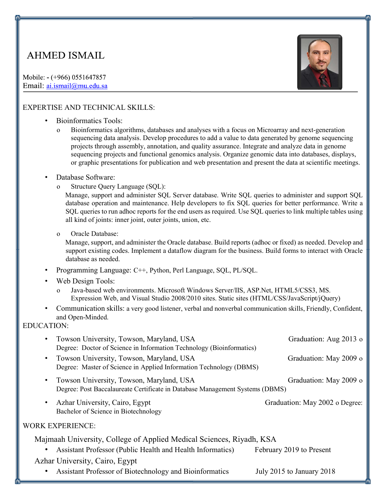# **AHMED ISMAIL**

Mobile: - (+966) 0551647857 Email: ai.ismail@mu.edu.sa



## EXPERTISE AND TECHNICAL SKILLS:

- Bioinformatics Tools:
	- o Bioinformatics algorithms, databases and analyses with a focus on Microarray and next-generation sequencing data analysis. Develop procedures to add a value to data generated by genome sequencing projects through assembly, annotation, and quality assurance. Integrate and analyze data in genome sequencing projects and functional genomics analysis. Organize genomic data into databases, displays, or graphic presentations for publication and web presentation and present the data at scientific meetings.

#### • Database Software:

o Structure Query Language (SQL):

Manage, support and administer SQL Server database. Write SQL queries to administer and support SQL database operation and maintenance. Help developers to fix SQL queries for better performance. Write a SQL queries to run adhoc reports for the end users as required. Use SQL queries to link multiple tables using all kind of joints: inner joint, outer joints, union, etc.

o Oracle Database:

Manage, support, and administer the Oracle database. Build reports (adhoc or fixed) as needed. Develop and support existing codes. Implement a dataflow diagram for the business. Build forms to interact with Oracle database as needed.

- Programming Language: C++, Python, Perl Language, SQL, PL/SQL.
- Web Design Tools:
	- o Java-based web environments. Microsoft Windows Server/IIS, ASP.Net, HTML5/CSS3, MS. Expression Web, and Visual Studio 2008/2010 sites. Static sites (HTML/CSS/JavaScript/jQuery)
- Communication skills: a very good listener, verbal and nonverbal communication skills, Friendly, Confident, and Open-Minded.

## EDUCATION:

| Towson University, Towson, Maryland, USA<br>Degree: Doctor of Science in Information Technology (Bioinformatics)         | Graduation: Aug 2013 o         |
|--------------------------------------------------------------------------------------------------------------------------|--------------------------------|
| Towson University, Towson, Maryland, USA<br>Degree: Master of Science in Applied Information Technology (DBMS)           | Graduation: May 2009 o         |
| Towson University, Towson, Maryland, USA<br>Degree: Post Baccalaureate Certificate in Database Management Systems (DBMS) | Graduation: May 2009 o         |
| Azhar University, Cairo, Egypt<br>Bachelor of Science in Biotechnology                                                   | Graduation: May 2002 o Degree: |
| <b>WORK EXPERIENCE:</b>                                                                                                  |                                |
| Majmaah University, College of Applied Medical Sciences, Riyadh, KSA                                                     |                                |
| Assistant Professor (Public Health and Health Informatics)                                                               | February 2019 to Present       |
| Azhar University, Cairo, Egypt                                                                                           |                                |
| Assistant Professor of Biotechnology and Bioinformatics                                                                  | July 2015 to January 2018      |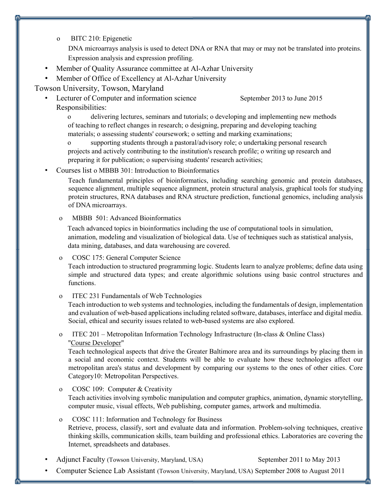o BITC 210: Epigenetic

DNA microarrays analysis is used to detect DNA or RNA that may or may not be translated into proteins. Expression analysis and expression profiling.

Member of Quality Assurance committee at Al-Azhar University

• Member of Office of Excellency at Al-Azhar University

## Towson University, Towson, Maryland

• Lecturer of Computer and information science September 2013 to June 2015 Responsibilities:

o delivering lectures, seminars and tutorials; o developing and implementing new methods of teaching to reflect changes in research; o designing, preparing and developing teaching materials; o assessing students' coursework; o setting and marking examinations;

o supporting students through a pastoral/advisory role; o undertaking personal research projects and actively contributing to the institution's research profile; o writing up research and preparing it for publication; o supervising students' research activities;

• Courses list o MBBB 301: Introduction to Bioinformatics

Teach fundamental principles of bioinformatics, including searching genomic and protein databases, sequence alignment, multiple sequence alignment, protein structural analysis, graphical tools for studying protein structures, RNA databases and RNA structure prediction, functional genomics, including analysis of DNA microarrays.

#### o MBBB 501: Advanced Bioinformatics

Teach advanced topics in bioinformatics including the use of computational tools in simulation, animation, modeling and visualization of biological data. Use of techniques such as statistical analysis, data mining, databases, and data warehousing are covered.

#### o COSC 175: General Computer Science

Teach introduction to structured programming logic. Students learn to analyze problems; define data using simple and structured data types; and create algorithmic solutions using basic control structures and functions.

o ITEC 231 Fundamentals of Web Technologies

Teach introduction to web systems and technologies, including the fundamentals of design, implementation and evaluation of web-based applications including related software, databases, interface and digital media. Social, ethical and security issues related to web-based systems are also explored.

o ITEC 201 – Metropolitan Information Technology Infrastructure (In-class & Online Class) "Course Developer"

Teach technological aspects that drive the Greater Baltimore area and its surroundings by placing them in a social and economic context. Students will be able to evaluate how these technologies affect our metropolitan area's status and development by comparing our systems to the ones of other cities. Core Category10: Metropolitan Perspectives.

- o COSC 109: Computer & Creativity Teach activities involving symbolic manipulation and computer graphics, animation, dynamic storytelling, computer music, visual effects, Web publishing, computer games, artwork and multimedia.
- o COSC 111: Information and Technology for Business Retrieve, process, classify, sort and evaluate data and information. Problem-solving techniques, creative thinking skills, communication skills, team building and professional ethics. Laboratories are covering the Internet, spreadsheets and databases.
- Adjunct Faculty (Towson University, Maryland, USA) September 2011 to May 2013
- Computer Science Lab Assistant (Towson University, Maryland, USA) September 2008 to August 2011